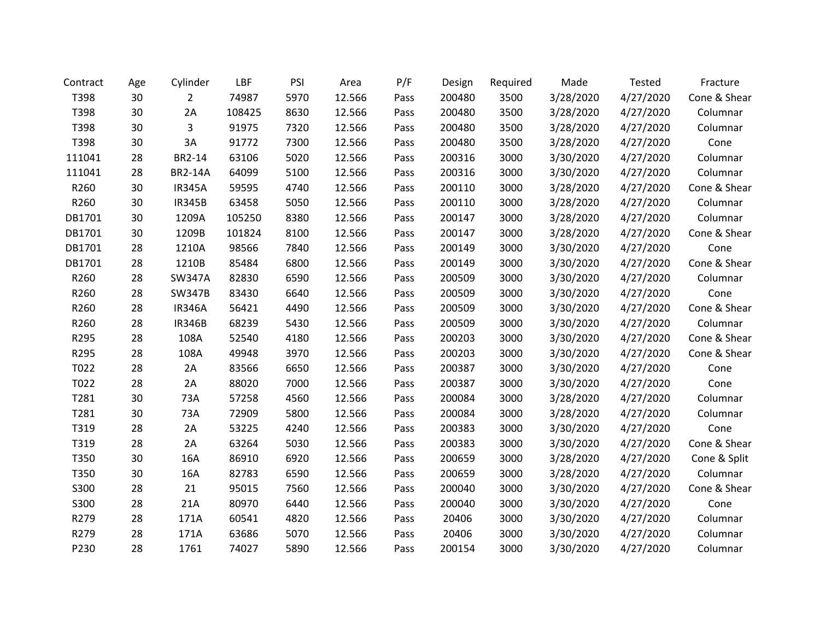| Contract | Age | Cylinder       | LBF    | PSI  | Area   | P/F  | Design | Required | Made      | Tested    | Fracture     |
|----------|-----|----------------|--------|------|--------|------|--------|----------|-----------|-----------|--------------|
| T398     | 30  | $\overline{2}$ | 74987  | 5970 | 12.566 | Pass | 200480 | 3500     | 3/28/2020 | 4/27/2020 | Cone & Shear |
| T398     | 30  | 2A             | 108425 | 8630 | 12.566 | Pass | 200480 | 3500     | 3/28/2020 | 4/27/2020 | Columnar     |
| T398     | 30  | 3              | 91975  | 7320 | 12.566 | Pass | 200480 | 3500     | 3/28/2020 | 4/27/2020 | Columnar     |
| T398     | 30  | 3A             | 91772  | 7300 | 12.566 | Pass | 200480 | 3500     | 3/28/2020 | 4/27/2020 | Cone         |
| 111041   | 28  | BR2-14         | 63106  | 5020 | 12.566 | Pass | 200316 | 3000     | 3/30/2020 | 4/27/2020 | Columnar     |
| 111041   | 28  | <b>BR2-14A</b> | 64099  | 5100 | 12.566 | Pass | 200316 | 3000     | 3/30/2020 | 4/27/2020 | Columnar     |
| R260     | 30  | <b>IR345A</b>  | 59595  | 4740 | 12.566 | Pass | 200110 | 3000     | 3/28/2020 | 4/27/2020 | Cone & Shear |
| R260     | 30  | <b>IR345B</b>  | 63458  | 5050 | 12.566 | Pass | 200110 | 3000     | 3/28/2020 | 4/27/2020 | Columnar     |
| DB1701   | 30  | 1209A          | 105250 | 8380 | 12.566 | Pass | 200147 | 3000     | 3/28/2020 | 4/27/2020 | Columnar     |
| DB1701   | 30  | 1209B          | 101824 | 8100 | 12.566 | Pass | 200147 | 3000     | 3/28/2020 | 4/27/2020 | Cone & Shear |
| DB1701   | 28  | 1210A          | 98566  | 7840 | 12.566 | Pass | 200149 | 3000     | 3/30/2020 | 4/27/2020 | Cone         |
| DB1701   | 28  | 1210B          | 85484  | 6800 | 12.566 | Pass | 200149 | 3000     | 3/30/2020 | 4/27/2020 | Cone & Shear |
| R260     | 28  | <b>SW347A</b>  | 82830  | 6590 | 12.566 | Pass | 200509 | 3000     | 3/30/2020 | 4/27/2020 | Columnar     |
| R260     | 28  | <b>SW347B</b>  | 83430  | 6640 | 12.566 | Pass | 200509 | 3000     | 3/30/2020 | 4/27/2020 | Cone         |
| R260     | 28  | <b>IR346A</b>  | 56421  | 4490 | 12.566 | Pass | 200509 | 3000     | 3/30/2020 | 4/27/2020 | Cone & Shear |
| R260     | 28  | <b>IR346B</b>  | 68239  | 5430 | 12.566 | Pass | 200509 | 3000     | 3/30/2020 | 4/27/2020 | Columnar     |
| R295     | 28  | 108A           | 52540  | 4180 | 12.566 | Pass | 200203 | 3000     | 3/30/2020 | 4/27/2020 | Cone & Shear |
| R295     | 28  | 108A           | 49948  | 3970 | 12.566 | Pass | 200203 | 3000     | 3/30/2020 | 4/27/2020 | Cone & Shear |
| T022     | 28  | 2A             | 83566  | 6650 | 12.566 | Pass | 200387 | 3000     | 3/30/2020 | 4/27/2020 | Cone         |
| T022     | 28  | 2A             | 88020  | 7000 | 12.566 | Pass | 200387 | 3000     | 3/30/2020 | 4/27/2020 | Cone         |
| T281     | 30  | 73A            | 57258  | 4560 | 12.566 | Pass | 200084 | 3000     | 3/28/2020 | 4/27/2020 | Columnar     |
| T281     | 30  | 73A            | 72909  | 5800 | 12.566 | Pass | 200084 | 3000     | 3/28/2020 | 4/27/2020 | Columnar     |
| T319     | 28  | 2A             | 53225  | 4240 | 12.566 | Pass | 200383 | 3000     | 3/30/2020 | 4/27/2020 | Cone         |
| T319     | 28  | 2A             | 63264  | 5030 | 12.566 | Pass | 200383 | 3000     | 3/30/2020 | 4/27/2020 | Cone & Shear |
| T350     | 30  | 16A            | 86910  | 6920 | 12.566 | Pass | 200659 | 3000     | 3/28/2020 | 4/27/2020 | Cone & Split |
| T350     | 30  | 16A            | 82783  | 6590 | 12.566 | Pass | 200659 | 3000     | 3/28/2020 | 4/27/2020 | Columnar     |
| S300     | 28  | 21             | 95015  | 7560 | 12.566 | Pass | 200040 | 3000     | 3/30/2020 | 4/27/2020 | Cone & Shear |
| S300     | 28  | 21A            | 80970  | 6440 | 12.566 | Pass | 200040 | 3000     | 3/30/2020 | 4/27/2020 | Cone         |
| R279     | 28  | 171A           | 60541  | 4820 | 12.566 | Pass | 20406  | 3000     | 3/30/2020 | 4/27/2020 | Columnar     |
| R279     | 28  | 171A           | 63686  | 5070 | 12.566 | Pass | 20406  | 3000     | 3/30/2020 | 4/27/2020 | Columnar     |
| P230     | 28  | 1761           | 74027  | 5890 | 12.566 | Pass | 200154 | 3000     | 3/30/2020 | 4/27/2020 | Columnar     |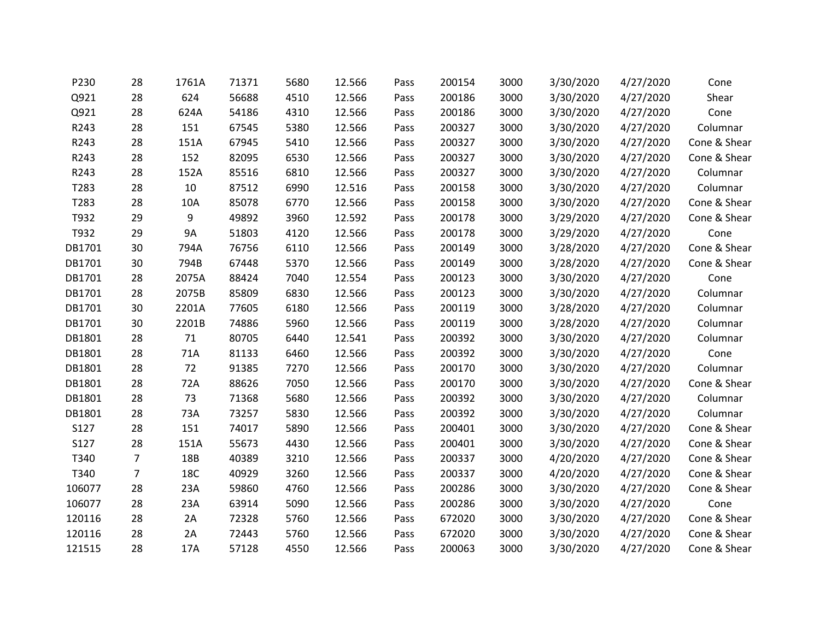| P230   | 28             | 1761A      | 71371 | 5680 | 12.566 | Pass | 200154 | 3000 | 3/30/2020 | 4/27/2020 | Cone         |
|--------|----------------|------------|-------|------|--------|------|--------|------|-----------|-----------|--------------|
| Q921   | 28             | 624        | 56688 | 4510 | 12.566 | Pass | 200186 | 3000 | 3/30/2020 | 4/27/2020 | Shear        |
| Q921   | 28             | 624A       | 54186 | 4310 | 12.566 | Pass | 200186 | 3000 | 3/30/2020 | 4/27/2020 | Cone         |
| R243   | 28             | 151        | 67545 | 5380 | 12.566 | Pass | 200327 | 3000 | 3/30/2020 | 4/27/2020 | Columnar     |
| R243   | 28             | 151A       | 67945 | 5410 | 12.566 | Pass | 200327 | 3000 | 3/30/2020 | 4/27/2020 | Cone & Shear |
| R243   | 28             | 152        | 82095 | 6530 | 12.566 | Pass | 200327 | 3000 | 3/30/2020 | 4/27/2020 | Cone & Shear |
| R243   | 28             | 152A       | 85516 | 6810 | 12.566 | Pass | 200327 | 3000 | 3/30/2020 | 4/27/2020 | Columnar     |
| T283   | 28             | 10         | 87512 | 6990 | 12.516 | Pass | 200158 | 3000 | 3/30/2020 | 4/27/2020 | Columnar     |
| T283   | 28             | 10A        | 85078 | 6770 | 12.566 | Pass | 200158 | 3000 | 3/30/2020 | 4/27/2020 | Cone & Shear |
| T932   | 29             | 9          | 49892 | 3960 | 12.592 | Pass | 200178 | 3000 | 3/29/2020 | 4/27/2020 | Cone & Shear |
| T932   | 29             | <b>9A</b>  | 51803 | 4120 | 12.566 | Pass | 200178 | 3000 | 3/29/2020 | 4/27/2020 | Cone         |
| DB1701 | 30             | 794A       | 76756 | 6110 | 12.566 | Pass | 200149 | 3000 | 3/28/2020 | 4/27/2020 | Cone & Shear |
| DB1701 | 30             | 794B       | 67448 | 5370 | 12.566 | Pass | 200149 | 3000 | 3/28/2020 | 4/27/2020 | Cone & Shear |
| DB1701 | 28             | 2075A      | 88424 | 7040 | 12.554 | Pass | 200123 | 3000 | 3/30/2020 | 4/27/2020 | Cone         |
| DB1701 | 28             | 2075B      | 85809 | 6830 | 12.566 | Pass | 200123 | 3000 | 3/30/2020 | 4/27/2020 | Columnar     |
| DB1701 | 30             | 2201A      | 77605 | 6180 | 12.566 | Pass | 200119 | 3000 | 3/28/2020 | 4/27/2020 | Columnar     |
| DB1701 | 30             | 2201B      | 74886 | 5960 | 12.566 | Pass | 200119 | 3000 | 3/28/2020 | 4/27/2020 | Columnar     |
| DB1801 | 28             | 71         | 80705 | 6440 | 12.541 | Pass | 200392 | 3000 | 3/30/2020 | 4/27/2020 | Columnar     |
| DB1801 | 28             | 71A        | 81133 | 6460 | 12.566 | Pass | 200392 | 3000 | 3/30/2020 | 4/27/2020 | Cone         |
| DB1801 | 28             | 72         | 91385 | 7270 | 12.566 | Pass | 200170 | 3000 | 3/30/2020 | 4/27/2020 | Columnar     |
| DB1801 | 28             | 72A        | 88626 | 7050 | 12.566 | Pass | 200170 | 3000 | 3/30/2020 | 4/27/2020 | Cone & Shear |
| DB1801 | 28             | 73         | 71368 | 5680 | 12.566 | Pass | 200392 | 3000 | 3/30/2020 | 4/27/2020 | Columnar     |
| DB1801 | 28             | 73A        | 73257 | 5830 | 12.566 | Pass | 200392 | 3000 | 3/30/2020 | 4/27/2020 | Columnar     |
| S127   | 28             | 151        | 74017 | 5890 | 12.566 | Pass | 200401 | 3000 | 3/30/2020 | 4/27/2020 | Cone & Shear |
| S127   | 28             | 151A       | 55673 | 4430 | 12.566 | Pass | 200401 | 3000 | 3/30/2020 | 4/27/2020 | Cone & Shear |
| T340   | $\overline{7}$ | 18B        | 40389 | 3210 | 12.566 | Pass | 200337 | 3000 | 4/20/2020 | 4/27/2020 | Cone & Shear |
| T340   | $\overline{7}$ | <b>18C</b> | 40929 | 3260 | 12.566 | Pass | 200337 | 3000 | 4/20/2020 | 4/27/2020 | Cone & Shear |
| 106077 | 28             | 23A        | 59860 | 4760 | 12.566 | Pass | 200286 | 3000 | 3/30/2020 | 4/27/2020 | Cone & Shear |
| 106077 | 28             | 23A        | 63914 | 5090 | 12.566 | Pass | 200286 | 3000 | 3/30/2020 | 4/27/2020 | Cone         |
| 120116 | 28             | 2A         | 72328 | 5760 | 12.566 | Pass | 672020 | 3000 | 3/30/2020 | 4/27/2020 | Cone & Shear |
| 120116 | 28             | 2A         | 72443 | 5760 | 12.566 | Pass | 672020 | 3000 | 3/30/2020 | 4/27/2020 | Cone & Shear |
| 121515 | 28             | 17A        | 57128 | 4550 | 12.566 | Pass | 200063 | 3000 | 3/30/2020 | 4/27/2020 | Cone & Shear |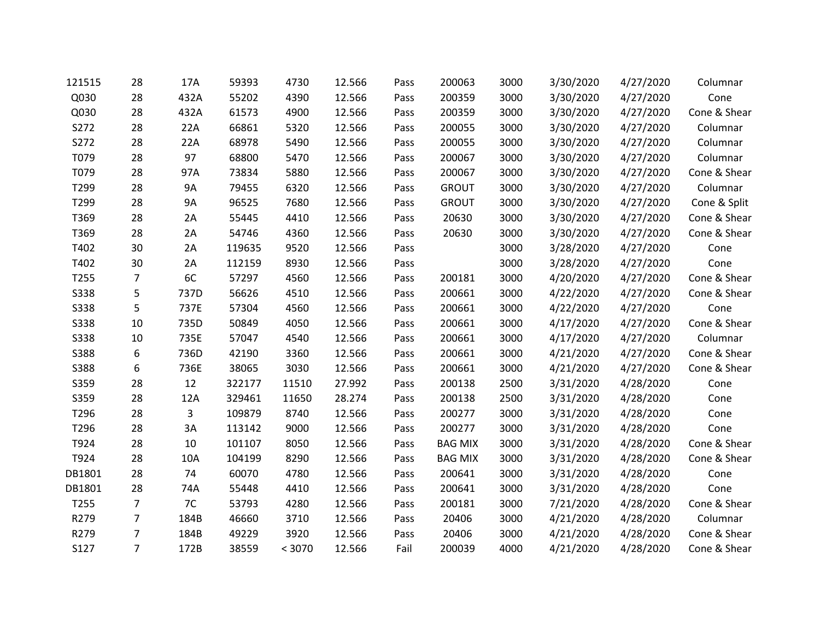| 121515      | 28             | 17A       | 59393  | 4730   | 12.566 | Pass | 200063         | 3000 | 3/30/2020 | 4/27/2020 | Columnar     |
|-------------|----------------|-----------|--------|--------|--------|------|----------------|------|-----------|-----------|--------------|
| Q030        | 28             | 432A      | 55202  | 4390   | 12.566 | Pass | 200359         | 3000 | 3/30/2020 | 4/27/2020 | Cone         |
| Q030        | 28             | 432A      | 61573  | 4900   | 12.566 | Pass | 200359         | 3000 | 3/30/2020 | 4/27/2020 | Cone & Shear |
| S272        | 28             | 22A       | 66861  | 5320   | 12.566 | Pass | 200055         | 3000 | 3/30/2020 | 4/27/2020 | Columnar     |
| S272        | 28             | 22A       | 68978  | 5490   | 12.566 | Pass | 200055         | 3000 | 3/30/2020 | 4/27/2020 | Columnar     |
| T079        | 28             | 97        | 68800  | 5470   | 12.566 | Pass | 200067         | 3000 | 3/30/2020 | 4/27/2020 | Columnar     |
| T079        | 28             | 97A       | 73834  | 5880   | 12.566 | Pass | 200067         | 3000 | 3/30/2020 | 4/27/2020 | Cone & Shear |
| T299        | 28             | <b>9A</b> | 79455  | 6320   | 12.566 | Pass | <b>GROUT</b>   | 3000 | 3/30/2020 | 4/27/2020 | Columnar     |
| T299        | 28             | <b>9A</b> | 96525  | 7680   | 12.566 | Pass | <b>GROUT</b>   | 3000 | 3/30/2020 | 4/27/2020 | Cone & Split |
| T369        | 28             | 2A        | 55445  | 4410   | 12.566 | Pass | 20630          | 3000 | 3/30/2020 | 4/27/2020 | Cone & Shear |
| T369        | 28             | 2A        | 54746  | 4360   | 12.566 | Pass | 20630          | 3000 | 3/30/2020 | 4/27/2020 | Cone & Shear |
| T402        | 30             | 2A        | 119635 | 9520   | 12.566 | Pass |                | 3000 | 3/28/2020 | 4/27/2020 | Cone         |
| T402        | 30             | 2A        | 112159 | 8930   | 12.566 | Pass |                | 3000 | 3/28/2020 | 4/27/2020 | Cone         |
| T255        | $\overline{7}$ | 6C        | 57297  | 4560   | 12.566 | Pass | 200181         | 3000 | 4/20/2020 | 4/27/2020 | Cone & Shear |
| <b>S338</b> | 5              | 737D      | 56626  | 4510   | 12.566 | Pass | 200661         | 3000 | 4/22/2020 | 4/27/2020 | Cone & Shear |
| <b>S338</b> | 5              | 737E      | 57304  | 4560   | 12.566 | Pass | 200661         | 3000 | 4/22/2020 | 4/27/2020 | Cone         |
| <b>S338</b> | 10             | 735D      | 50849  | 4050   | 12.566 | Pass | 200661         | 3000 | 4/17/2020 | 4/27/2020 | Cone & Shear |
| <b>S338</b> | 10             | 735E      | 57047  | 4540   | 12.566 | Pass | 200661         | 3000 | 4/17/2020 | 4/27/2020 | Columnar     |
| S388        | 6              | 736D      | 42190  | 3360   | 12.566 | Pass | 200661         | 3000 | 4/21/2020 | 4/27/2020 | Cone & Shear |
| <b>S388</b> | 6              | 736E      | 38065  | 3030   | 12.566 | Pass | 200661         | 3000 | 4/21/2020 | 4/27/2020 | Cone & Shear |
| S359        | 28             | 12        | 322177 | 11510  | 27.992 | Pass | 200138         | 2500 | 3/31/2020 | 4/28/2020 | Cone         |
| S359        | 28             | 12A       | 329461 | 11650  | 28.274 | Pass | 200138         | 2500 | 3/31/2020 | 4/28/2020 | Cone         |
| T296        | 28             | 3         | 109879 | 8740   | 12.566 | Pass | 200277         | 3000 | 3/31/2020 | 4/28/2020 | Cone         |
| T296        | 28             | 3A        | 113142 | 9000   | 12.566 | Pass | 200277         | 3000 | 3/31/2020 | 4/28/2020 | Cone         |
| T924        | 28             | 10        | 101107 | 8050   | 12.566 | Pass | <b>BAG MIX</b> | 3000 | 3/31/2020 | 4/28/2020 | Cone & Shear |
| T924        | 28             | 10A       | 104199 | 8290   | 12.566 | Pass | <b>BAG MIX</b> | 3000 | 3/31/2020 | 4/28/2020 | Cone & Shear |
| DB1801      | 28             | 74        | 60070  | 4780   | 12.566 | Pass | 200641         | 3000 | 3/31/2020 | 4/28/2020 | Cone         |
| DB1801      | 28             | 74A       | 55448  | 4410   | 12.566 | Pass | 200641         | 3000 | 3/31/2020 | 4/28/2020 | Cone         |
| T255        | $\overline{7}$ | 7C        | 53793  | 4280   | 12.566 | Pass | 200181         | 3000 | 7/21/2020 | 4/28/2020 | Cone & Shear |
| R279        | 7              | 184B      | 46660  | 3710   | 12.566 | Pass | 20406          | 3000 | 4/21/2020 | 4/28/2020 | Columnar     |
| R279        | $\overline{7}$ | 184B      | 49229  | 3920   | 12.566 | Pass | 20406          | 3000 | 4/21/2020 | 4/28/2020 | Cone & Shear |
| S127        | $\overline{7}$ | 172B      | 38559  | < 3070 | 12.566 | Fail | 200039         | 4000 | 4/21/2020 | 4/28/2020 | Cone & Shear |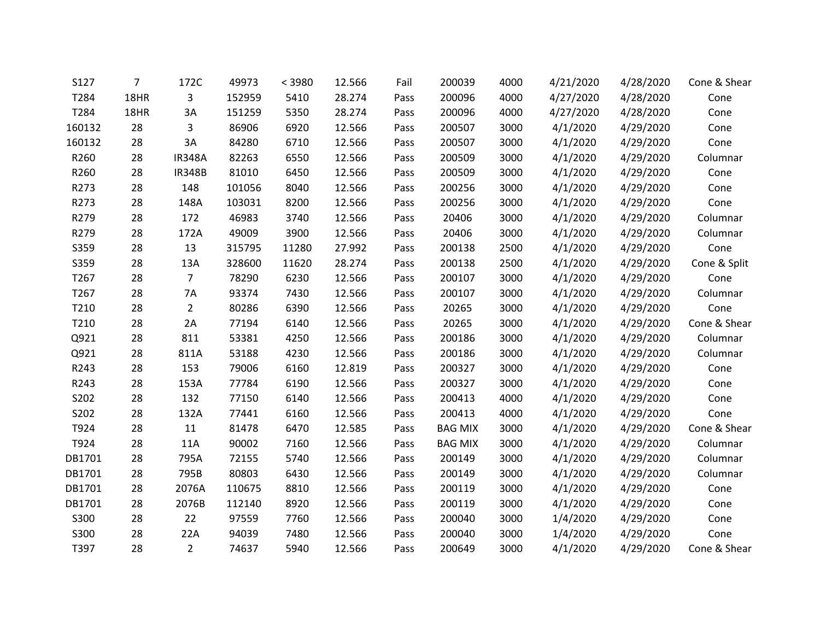| S127   | 7    | 172C           | 49973  | < 3980 | 12.566 | Fail | 200039         | 4000 | 4/21/2020 | 4/28/2020 | Cone & Shear |
|--------|------|----------------|--------|--------|--------|------|----------------|------|-----------|-----------|--------------|
| T284   | 18HR | 3              | 152959 | 5410   | 28.274 | Pass | 200096         | 4000 | 4/27/2020 | 4/28/2020 | Cone         |
| T284   | 18HR | 3A             | 151259 | 5350   | 28.274 | Pass | 200096         | 4000 | 4/27/2020 | 4/28/2020 | Cone         |
| 160132 | 28   | 3              | 86906  | 6920   | 12.566 | Pass | 200507         | 3000 | 4/1/2020  | 4/29/2020 | Cone         |
| 160132 | 28   | 3A             | 84280  | 6710   | 12.566 | Pass | 200507         | 3000 | 4/1/2020  | 4/29/2020 | Cone         |
| R260   | 28   | <b>IR348A</b>  | 82263  | 6550   | 12.566 | Pass | 200509         | 3000 | 4/1/2020  | 4/29/2020 | Columnar     |
| R260   | 28   | <b>IR348B</b>  | 81010  | 6450   | 12.566 | Pass | 200509         | 3000 | 4/1/2020  | 4/29/2020 | Cone         |
| R273   | 28   | 148            | 101056 | 8040   | 12.566 | Pass | 200256         | 3000 | 4/1/2020  | 4/29/2020 | Cone         |
| R273   | 28   | 148A           | 103031 | 8200   | 12.566 | Pass | 200256         | 3000 | 4/1/2020  | 4/29/2020 | Cone         |
| R279   | 28   | 172            | 46983  | 3740   | 12.566 | Pass | 20406          | 3000 | 4/1/2020  | 4/29/2020 | Columnar     |
| R279   | 28   | 172A           | 49009  | 3900   | 12.566 | Pass | 20406          | 3000 | 4/1/2020  | 4/29/2020 | Columnar     |
| S359   | 28   | 13             | 315795 | 11280  | 27.992 | Pass | 200138         | 2500 | 4/1/2020  | 4/29/2020 | Cone         |
| S359   | 28   | 13A            | 328600 | 11620  | 28.274 | Pass | 200138         | 2500 | 4/1/2020  | 4/29/2020 | Cone & Split |
| T267   | 28   | $\overline{7}$ | 78290  | 6230   | 12.566 | Pass | 200107         | 3000 | 4/1/2020  | 4/29/2020 | Cone         |
| T267   | 28   | 7A             | 93374  | 7430   | 12.566 | Pass | 200107         | 3000 | 4/1/2020  | 4/29/2020 | Columnar     |
| T210   | 28   | $\overline{2}$ | 80286  | 6390   | 12.566 | Pass | 20265          | 3000 | 4/1/2020  | 4/29/2020 | Cone         |
| T210   | 28   | 2A             | 77194  | 6140   | 12.566 | Pass | 20265          | 3000 | 4/1/2020  | 4/29/2020 | Cone & Shear |
| Q921   | 28   | 811            | 53381  | 4250   | 12.566 | Pass | 200186         | 3000 | 4/1/2020  | 4/29/2020 | Columnar     |
| Q921   | 28   | 811A           | 53188  | 4230   | 12.566 | Pass | 200186         | 3000 | 4/1/2020  | 4/29/2020 | Columnar     |
| R243   | 28   | 153            | 79006  | 6160   | 12.819 | Pass | 200327         | 3000 | 4/1/2020  | 4/29/2020 | Cone         |
| R243   | 28   | 153A           | 77784  | 6190   | 12.566 | Pass | 200327         | 3000 | 4/1/2020  | 4/29/2020 | Cone         |
| S202   | 28   | 132            | 77150  | 6140   | 12.566 | Pass | 200413         | 4000 | 4/1/2020  | 4/29/2020 | Cone         |
| S202   | 28   | 132A           | 77441  | 6160   | 12.566 | Pass | 200413         | 4000 | 4/1/2020  | 4/29/2020 | Cone         |
| T924   | 28   | 11             | 81478  | 6470   | 12.585 | Pass | <b>BAG MIX</b> | 3000 | 4/1/2020  | 4/29/2020 | Cone & Shear |
| T924   | 28   | 11A            | 90002  | 7160   | 12.566 | Pass | <b>BAG MIX</b> | 3000 | 4/1/2020  | 4/29/2020 | Columnar     |
| DB1701 | 28   | 795A           | 72155  | 5740   | 12.566 | Pass | 200149         | 3000 | 4/1/2020  | 4/29/2020 | Columnar     |
| DB1701 | 28   | 795B           | 80803  | 6430   | 12.566 | Pass | 200149         | 3000 | 4/1/2020  | 4/29/2020 | Columnar     |
| DB1701 | 28   | 2076A          | 110675 | 8810   | 12.566 | Pass | 200119         | 3000 | 4/1/2020  | 4/29/2020 | Cone         |
| DB1701 | 28   | 2076B          | 112140 | 8920   | 12.566 | Pass | 200119         | 3000 | 4/1/2020  | 4/29/2020 | Cone         |
| S300   | 28   | 22             | 97559  | 7760   | 12.566 | Pass | 200040         | 3000 | 1/4/2020  | 4/29/2020 | Cone         |
| S300   | 28   | 22A            | 94039  | 7480   | 12.566 | Pass | 200040         | 3000 | 1/4/2020  | 4/29/2020 | Cone         |
| T397   | 28   | $\overline{2}$ | 74637  | 5940   | 12.566 | Pass | 200649         | 3000 | 4/1/2020  | 4/29/2020 | Cone & Shear |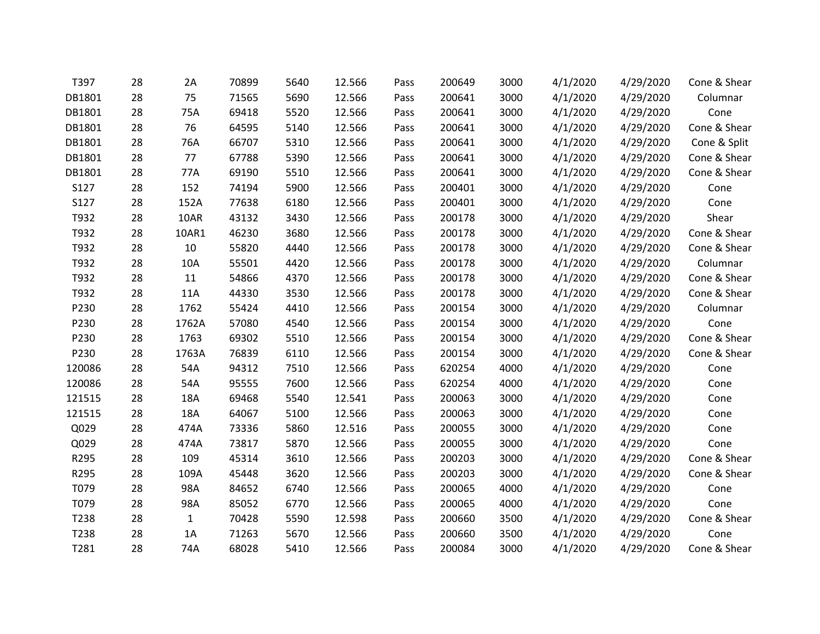| T397   | 28 | 2A           | 70899 | 5640 | 12.566 | Pass | 200649 | 3000 | 4/1/2020 | 4/29/2020 | Cone & Shear |
|--------|----|--------------|-------|------|--------|------|--------|------|----------|-----------|--------------|
| DB1801 | 28 | 75           | 71565 | 5690 | 12.566 | Pass | 200641 | 3000 | 4/1/2020 | 4/29/2020 | Columnar     |
| DB1801 | 28 | 75A          | 69418 | 5520 | 12.566 | Pass | 200641 | 3000 | 4/1/2020 | 4/29/2020 | Cone         |
| DB1801 | 28 | 76           | 64595 | 5140 | 12.566 | Pass | 200641 | 3000 | 4/1/2020 | 4/29/2020 | Cone & Shear |
| DB1801 | 28 | 76A          | 66707 | 5310 | 12.566 | Pass | 200641 | 3000 | 4/1/2020 | 4/29/2020 | Cone & Split |
| DB1801 | 28 | 77           | 67788 | 5390 | 12.566 | Pass | 200641 | 3000 | 4/1/2020 | 4/29/2020 | Cone & Shear |
| DB1801 | 28 | 77A          | 69190 | 5510 | 12.566 | Pass | 200641 | 3000 | 4/1/2020 | 4/29/2020 | Cone & Shear |
| S127   | 28 | 152          | 74194 | 5900 | 12.566 | Pass | 200401 | 3000 | 4/1/2020 | 4/29/2020 | Cone         |
| S127   | 28 | 152A         | 77638 | 6180 | 12.566 | Pass | 200401 | 3000 | 4/1/2020 | 4/29/2020 | Cone         |
| T932   | 28 | 10AR         | 43132 | 3430 | 12.566 | Pass | 200178 | 3000 | 4/1/2020 | 4/29/2020 | Shear        |
| T932   | 28 | 10AR1        | 46230 | 3680 | 12.566 | Pass | 200178 | 3000 | 4/1/2020 | 4/29/2020 | Cone & Shear |
| T932   | 28 | 10           | 55820 | 4440 | 12.566 | Pass | 200178 | 3000 | 4/1/2020 | 4/29/2020 | Cone & Shear |
| T932   | 28 | 10A          | 55501 | 4420 | 12.566 | Pass | 200178 | 3000 | 4/1/2020 | 4/29/2020 | Columnar     |
| T932   | 28 | 11           | 54866 | 4370 | 12.566 | Pass | 200178 | 3000 | 4/1/2020 | 4/29/2020 | Cone & Shear |
| T932   | 28 | 11A          | 44330 | 3530 | 12.566 | Pass | 200178 | 3000 | 4/1/2020 | 4/29/2020 | Cone & Shear |
| P230   | 28 | 1762         | 55424 | 4410 | 12.566 | Pass | 200154 | 3000 | 4/1/2020 | 4/29/2020 | Columnar     |
| P230   | 28 | 1762A        | 57080 | 4540 | 12.566 | Pass | 200154 | 3000 | 4/1/2020 | 4/29/2020 | Cone         |
| P230   | 28 | 1763         | 69302 | 5510 | 12.566 | Pass | 200154 | 3000 | 4/1/2020 | 4/29/2020 | Cone & Shear |
| P230   | 28 | 1763A        | 76839 | 6110 | 12.566 | Pass | 200154 | 3000 | 4/1/2020 | 4/29/2020 | Cone & Shear |
| 120086 | 28 | 54A          | 94312 | 7510 | 12.566 | Pass | 620254 | 4000 | 4/1/2020 | 4/29/2020 | Cone         |
| 120086 | 28 | 54A          | 95555 | 7600 | 12.566 | Pass | 620254 | 4000 | 4/1/2020 | 4/29/2020 | Cone         |
| 121515 | 28 | 18A          | 69468 | 5540 | 12.541 | Pass | 200063 | 3000 | 4/1/2020 | 4/29/2020 | Cone         |
| 121515 | 28 | 18A          | 64067 | 5100 | 12.566 | Pass | 200063 | 3000 | 4/1/2020 | 4/29/2020 | Cone         |
| Q029   | 28 | 474A         | 73336 | 5860 | 12.516 | Pass | 200055 | 3000 | 4/1/2020 | 4/29/2020 | Cone         |
| Q029   | 28 | 474A         | 73817 | 5870 | 12.566 | Pass | 200055 | 3000 | 4/1/2020 | 4/29/2020 | Cone         |
| R295   | 28 | 109          | 45314 | 3610 | 12.566 | Pass | 200203 | 3000 | 4/1/2020 | 4/29/2020 | Cone & Shear |
| R295   | 28 | 109A         | 45448 | 3620 | 12.566 | Pass | 200203 | 3000 | 4/1/2020 | 4/29/2020 | Cone & Shear |
| T079   | 28 | 98A          | 84652 | 6740 | 12.566 | Pass | 200065 | 4000 | 4/1/2020 | 4/29/2020 | Cone         |
| T079   | 28 | 98A          | 85052 | 6770 | 12.566 | Pass | 200065 | 4000 | 4/1/2020 | 4/29/2020 | Cone         |
| T238   | 28 | $\mathbf{1}$ | 70428 | 5590 | 12.598 | Pass | 200660 | 3500 | 4/1/2020 | 4/29/2020 | Cone & Shear |
| T238   | 28 | 1A           | 71263 | 5670 | 12.566 | Pass | 200660 | 3500 | 4/1/2020 | 4/29/2020 | Cone         |
| T281   | 28 | 74A          | 68028 | 5410 | 12.566 | Pass | 200084 | 3000 | 4/1/2020 | 4/29/2020 | Cone & Shear |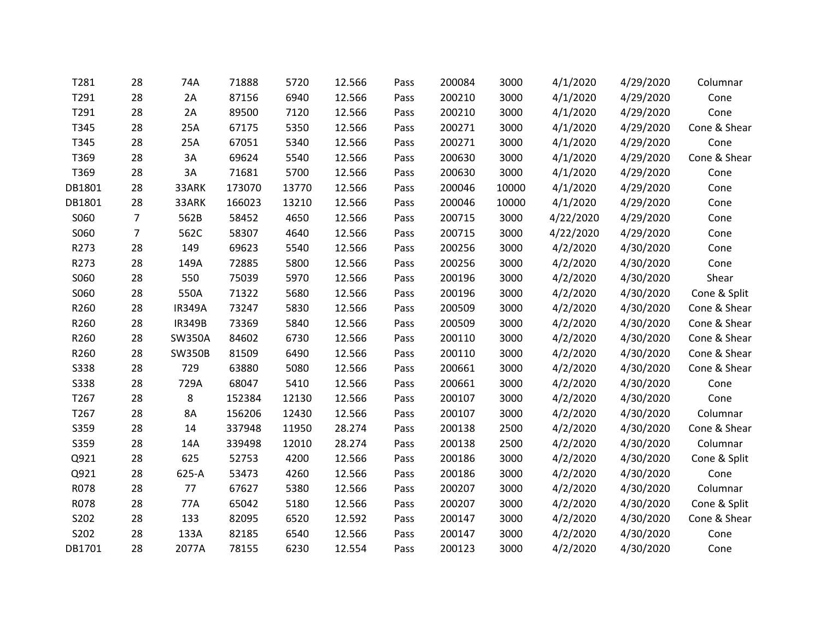| T281        | 28             | 74A           | 71888  | 5720  | 12.566 | Pass | 200084 | 3000  | 4/1/2020  | 4/29/2020 | Columnar     |
|-------------|----------------|---------------|--------|-------|--------|------|--------|-------|-----------|-----------|--------------|
| T291        | 28             | 2A            | 87156  | 6940  | 12.566 | Pass | 200210 | 3000  | 4/1/2020  | 4/29/2020 | Cone         |
| T291        | 28             | 2A            | 89500  | 7120  | 12.566 | Pass | 200210 | 3000  | 4/1/2020  | 4/29/2020 | Cone         |
| T345        | 28             | 25A           | 67175  | 5350  | 12.566 | Pass | 200271 | 3000  | 4/1/2020  | 4/29/2020 | Cone & Shear |
| T345        | 28             | 25A           | 67051  | 5340  | 12.566 | Pass | 200271 | 3000  | 4/1/2020  | 4/29/2020 | Cone         |
| T369        | 28             | 3A            | 69624  | 5540  | 12.566 | Pass | 200630 | 3000  | 4/1/2020  | 4/29/2020 | Cone & Shear |
| T369        | 28             | 3A            | 71681  | 5700  | 12.566 | Pass | 200630 | 3000  | 4/1/2020  | 4/29/2020 | Cone         |
| DB1801      | 28             | 33ARK         | 173070 | 13770 | 12.566 | Pass | 200046 | 10000 | 4/1/2020  | 4/29/2020 | Cone         |
| DB1801      | 28             | 33ARK         | 166023 | 13210 | 12.566 | Pass | 200046 | 10000 | 4/1/2020  | 4/29/2020 | Cone         |
| S060        | $\overline{7}$ | 562B          | 58452  | 4650  | 12.566 | Pass | 200715 | 3000  | 4/22/2020 | 4/29/2020 | Cone         |
| S060        | $\overline{7}$ | 562C          | 58307  | 4640  | 12.566 | Pass | 200715 | 3000  | 4/22/2020 | 4/29/2020 | Cone         |
| R273        | 28             | 149           | 69623  | 5540  | 12.566 | Pass | 200256 | 3000  | 4/2/2020  | 4/30/2020 | Cone         |
| R273        | 28             | 149A          | 72885  | 5800  | 12.566 | Pass | 200256 | 3000  | 4/2/2020  | 4/30/2020 | Cone         |
| S060        | 28             | 550           | 75039  | 5970  | 12.566 | Pass | 200196 | 3000  | 4/2/2020  | 4/30/2020 | Shear        |
| S060        | 28             | 550A          | 71322  | 5680  | 12.566 | Pass | 200196 | 3000  | 4/2/2020  | 4/30/2020 | Cone & Split |
| R260        | 28             | <b>IR349A</b> | 73247  | 5830  | 12.566 | Pass | 200509 | 3000  | 4/2/2020  | 4/30/2020 | Cone & Shear |
| R260        | 28             | <b>IR349B</b> | 73369  | 5840  | 12.566 | Pass | 200509 | 3000  | 4/2/2020  | 4/30/2020 | Cone & Shear |
| R260        | 28             | <b>SW350A</b> | 84602  | 6730  | 12.566 | Pass | 200110 | 3000  | 4/2/2020  | 4/30/2020 | Cone & Shear |
| R260        | 28             | <b>SW350B</b> | 81509  | 6490  | 12.566 | Pass | 200110 | 3000  | 4/2/2020  | 4/30/2020 | Cone & Shear |
| <b>S338</b> | 28             | 729           | 63880  | 5080  | 12.566 | Pass | 200661 | 3000  | 4/2/2020  | 4/30/2020 | Cone & Shear |
| <b>S338</b> | 28             | 729A          | 68047  | 5410  | 12.566 | Pass | 200661 | 3000  | 4/2/2020  | 4/30/2020 | Cone         |
| T267        | 28             | 8             | 152384 | 12130 | 12.566 | Pass | 200107 | 3000  | 4/2/2020  | 4/30/2020 | Cone         |
| T267        | 28             | <b>8A</b>     | 156206 | 12430 | 12.566 | Pass | 200107 | 3000  | 4/2/2020  | 4/30/2020 | Columnar     |
| S359        | 28             | 14            | 337948 | 11950 | 28.274 | Pass | 200138 | 2500  | 4/2/2020  | 4/30/2020 | Cone & Shear |
| S359        | 28             | 14A           | 339498 | 12010 | 28.274 | Pass | 200138 | 2500  | 4/2/2020  | 4/30/2020 | Columnar     |
| Q921        | 28             | 625           | 52753  | 4200  | 12.566 | Pass | 200186 | 3000  | 4/2/2020  | 4/30/2020 | Cone & Split |
| Q921        | 28             | 625-A         | 53473  | 4260  | 12.566 | Pass | 200186 | 3000  | 4/2/2020  | 4/30/2020 | Cone         |
| R078        | 28             | 77            | 67627  | 5380  | 12.566 | Pass | 200207 | 3000  | 4/2/2020  | 4/30/2020 | Columnar     |
| R078        | 28             | 77A           | 65042  | 5180  | 12.566 | Pass | 200207 | 3000  | 4/2/2020  | 4/30/2020 | Cone & Split |
| S202        | 28             | 133           | 82095  | 6520  | 12.592 | Pass | 200147 | 3000  | 4/2/2020  | 4/30/2020 | Cone & Shear |
| S202        | 28             | 133A          | 82185  | 6540  | 12.566 | Pass | 200147 | 3000  | 4/2/2020  | 4/30/2020 | Cone         |
| DB1701      | 28             | 2077A         | 78155  | 6230  | 12.554 | Pass | 200123 | 3000  | 4/2/2020  | 4/30/2020 | Cone         |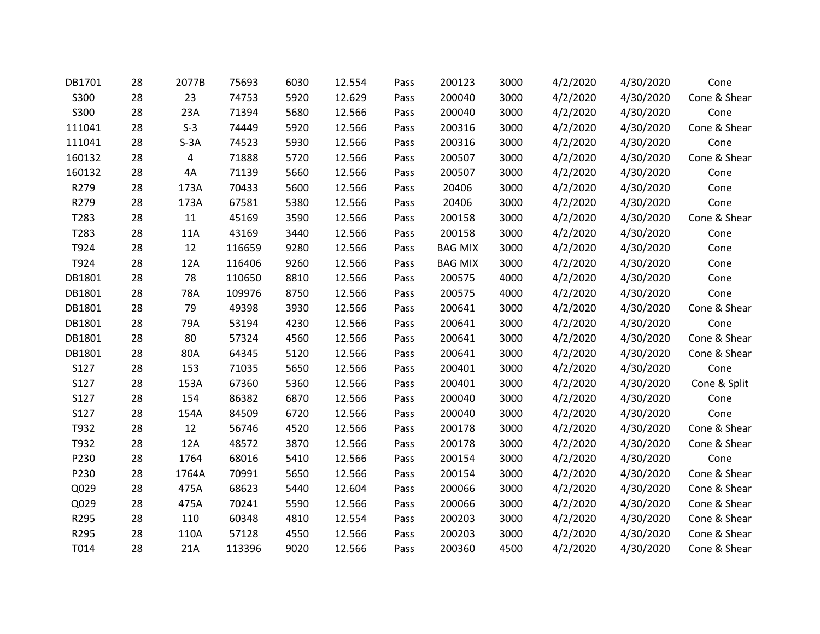| DB1701 | 28 | 2077B  | 75693  | 6030 | 12.554 | Pass | 200123         | 3000 | 4/2/2020 | 4/30/2020 | Cone         |
|--------|----|--------|--------|------|--------|------|----------------|------|----------|-----------|--------------|
| S300   | 28 | 23     | 74753  | 5920 | 12.629 | Pass | 200040         | 3000 | 4/2/2020 | 4/30/2020 | Cone & Shear |
| S300   | 28 | 23A    | 71394  | 5680 | 12.566 | Pass | 200040         | 3000 | 4/2/2020 | 4/30/2020 | Cone         |
| 111041 | 28 | $S-3$  | 74449  | 5920 | 12.566 | Pass | 200316         | 3000 | 4/2/2020 | 4/30/2020 | Cone & Shear |
| 111041 | 28 | $S-3A$ | 74523  | 5930 | 12.566 | Pass | 200316         | 3000 | 4/2/2020 | 4/30/2020 | Cone         |
| 160132 | 28 | 4      | 71888  | 5720 | 12.566 | Pass | 200507         | 3000 | 4/2/2020 | 4/30/2020 | Cone & Shear |
| 160132 | 28 | 4A     | 71139  | 5660 | 12.566 | Pass | 200507         | 3000 | 4/2/2020 | 4/30/2020 | Cone         |
| R279   | 28 | 173A   | 70433  | 5600 | 12.566 | Pass | 20406          | 3000 | 4/2/2020 | 4/30/2020 | Cone         |
| R279   | 28 | 173A   | 67581  | 5380 | 12.566 | Pass | 20406          | 3000 | 4/2/2020 | 4/30/2020 | Cone         |
| T283   | 28 | 11     | 45169  | 3590 | 12.566 | Pass | 200158         | 3000 | 4/2/2020 | 4/30/2020 | Cone & Shear |
| T283   | 28 | 11A    | 43169  | 3440 | 12.566 | Pass | 200158         | 3000 | 4/2/2020 | 4/30/2020 | Cone         |
| T924   | 28 | 12     | 116659 | 9280 | 12.566 | Pass | <b>BAG MIX</b> | 3000 | 4/2/2020 | 4/30/2020 | Cone         |
| T924   | 28 | 12A    | 116406 | 9260 | 12.566 | Pass | <b>BAG MIX</b> | 3000 | 4/2/2020 | 4/30/2020 | Cone         |
| DB1801 | 28 | 78     | 110650 | 8810 | 12.566 | Pass | 200575         | 4000 | 4/2/2020 | 4/30/2020 | Cone         |
| DB1801 | 28 | 78A    | 109976 | 8750 | 12.566 | Pass | 200575         | 4000 | 4/2/2020 | 4/30/2020 | Cone         |
| DB1801 | 28 | 79     | 49398  | 3930 | 12.566 | Pass | 200641         | 3000 | 4/2/2020 | 4/30/2020 | Cone & Shear |
| DB1801 | 28 | 79A    | 53194  | 4230 | 12.566 | Pass | 200641         | 3000 | 4/2/2020 | 4/30/2020 | Cone         |
| DB1801 | 28 | 80     | 57324  | 4560 | 12.566 | Pass | 200641         | 3000 | 4/2/2020 | 4/30/2020 | Cone & Shear |
| DB1801 | 28 | 80A    | 64345  | 5120 | 12.566 | Pass | 200641         | 3000 | 4/2/2020 | 4/30/2020 | Cone & Shear |
| S127   | 28 | 153    | 71035  | 5650 | 12.566 | Pass | 200401         | 3000 | 4/2/2020 | 4/30/2020 | Cone         |
| S127   | 28 | 153A   | 67360  | 5360 | 12.566 | Pass | 200401         | 3000 | 4/2/2020 | 4/30/2020 | Cone & Split |
| S127   | 28 | 154    | 86382  | 6870 | 12.566 | Pass | 200040         | 3000 | 4/2/2020 | 4/30/2020 | Cone         |
| S127   | 28 | 154A   | 84509  | 6720 | 12.566 | Pass | 200040         | 3000 | 4/2/2020 | 4/30/2020 | Cone         |
| T932   | 28 | 12     | 56746  | 4520 | 12.566 | Pass | 200178         | 3000 | 4/2/2020 | 4/30/2020 | Cone & Shear |
| T932   | 28 | 12A    | 48572  | 3870 | 12.566 | Pass | 200178         | 3000 | 4/2/2020 | 4/30/2020 | Cone & Shear |
| P230   | 28 | 1764   | 68016  | 5410 | 12.566 | Pass | 200154         | 3000 | 4/2/2020 | 4/30/2020 | Cone         |
| P230   | 28 | 1764A  | 70991  | 5650 | 12.566 | Pass | 200154         | 3000 | 4/2/2020 | 4/30/2020 | Cone & Shear |
| Q029   | 28 | 475A   | 68623  | 5440 | 12.604 | Pass | 200066         | 3000 | 4/2/2020 | 4/30/2020 | Cone & Shear |
| Q029   | 28 | 475A   | 70241  | 5590 | 12.566 | Pass | 200066         | 3000 | 4/2/2020 | 4/30/2020 | Cone & Shear |
| R295   | 28 | 110    | 60348  | 4810 | 12.554 | Pass | 200203         | 3000 | 4/2/2020 | 4/30/2020 | Cone & Shear |
| R295   | 28 | 110A   | 57128  | 4550 | 12.566 | Pass | 200203         | 3000 | 4/2/2020 | 4/30/2020 | Cone & Shear |
| T014   | 28 | 21A    | 113396 | 9020 | 12.566 | Pass | 200360         | 4500 | 4/2/2020 | 4/30/2020 | Cone & Shear |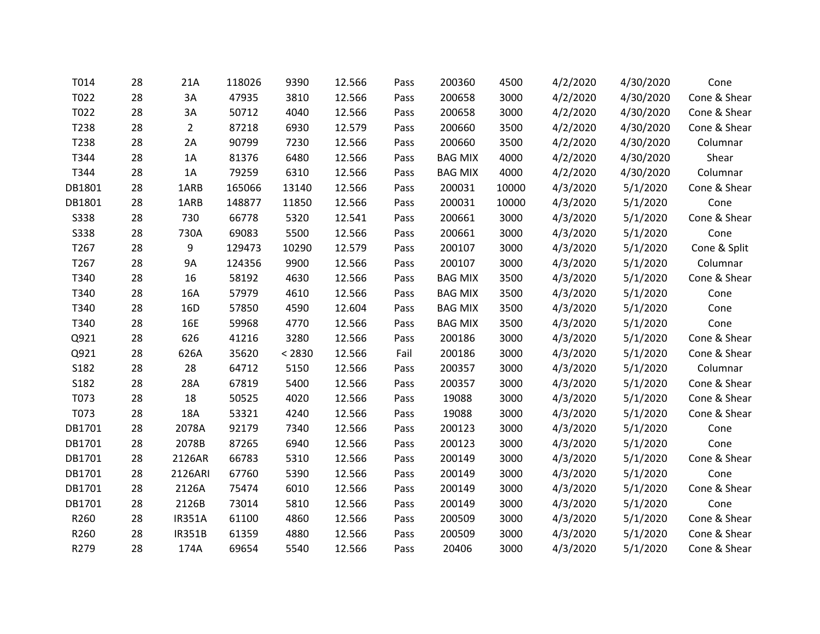| T022<br>T022<br>T238 | 28<br>28<br>28<br>28 | 3A<br>3A<br>$\overline{2}$ | 47935<br>50712 | 3810   | 12.566 | Pass | 200658         | 3000  | 4/2/2020 | 4/30/2020 | Cone & Shear |
|----------------------|----------------------|----------------------------|----------------|--------|--------|------|----------------|-------|----------|-----------|--------------|
|                      |                      |                            |                |        |        |      |                |       |          |           |              |
|                      |                      |                            |                | 4040   | 12.566 | Pass | 200658         | 3000  | 4/2/2020 | 4/30/2020 | Cone & Shear |
|                      |                      |                            | 87218          | 6930   | 12.579 | Pass | 200660         | 3500  | 4/2/2020 | 4/30/2020 | Cone & Shear |
| T238                 |                      | 2A                         | 90799          | 7230   | 12.566 | Pass | 200660         | 3500  | 4/2/2020 | 4/30/2020 | Columnar     |
| T344                 | 28                   | 1A                         | 81376          | 6480   | 12.566 | Pass | <b>BAG MIX</b> | 4000  | 4/2/2020 | 4/30/2020 | Shear        |
| T344                 | 28                   | 1A                         | 79259          | 6310   | 12.566 | Pass | <b>BAG MIX</b> | 4000  | 4/2/2020 | 4/30/2020 | Columnar     |
| DB1801               | 28                   | 1ARB                       | 165066         | 13140  | 12.566 | Pass | 200031         | 10000 | 4/3/2020 | 5/1/2020  | Cone & Shear |
| DB1801               | 28                   | 1ARB                       | 148877         | 11850  | 12.566 | Pass | 200031         | 10000 | 4/3/2020 | 5/1/2020  | Cone         |
| <b>S338</b>          | 28                   | 730                        | 66778          | 5320   | 12.541 | Pass | 200661         | 3000  | 4/3/2020 | 5/1/2020  | Cone & Shear |
| <b>S338</b>          | 28                   | 730A                       | 69083          | 5500   | 12.566 | Pass | 200661         | 3000  | 4/3/2020 | 5/1/2020  | Cone         |
| T267                 | 28                   | 9                          | 129473         | 10290  | 12.579 | Pass | 200107         | 3000  | 4/3/2020 | 5/1/2020  | Cone & Split |
| T267                 | 28                   | 9A                         | 124356         | 9900   | 12.566 | Pass | 200107         | 3000  | 4/3/2020 | 5/1/2020  | Columnar     |
| T340                 | 28                   | 16                         | 58192          | 4630   | 12.566 | Pass | <b>BAG MIX</b> | 3500  | 4/3/2020 | 5/1/2020  | Cone & Shear |
| T340                 | 28                   | 16A                        | 57979          | 4610   | 12.566 | Pass | <b>BAG MIX</b> | 3500  | 4/3/2020 | 5/1/2020  | Cone         |
| T340                 | 28                   | 16D                        | 57850          | 4590   | 12.604 | Pass | <b>BAG MIX</b> | 3500  | 4/3/2020 | 5/1/2020  | Cone         |
| T340                 | 28                   | <b>16E</b>                 | 59968          | 4770   | 12.566 | Pass | <b>BAG MIX</b> | 3500  | 4/3/2020 | 5/1/2020  | Cone         |
| Q921                 | 28                   | 626                        | 41216          | 3280   | 12.566 | Pass | 200186         | 3000  | 4/3/2020 | 5/1/2020  | Cone & Shear |
| Q921                 | 28                   | 626A                       | 35620          | < 2830 | 12.566 | Fail | 200186         | 3000  | 4/3/2020 | 5/1/2020  | Cone & Shear |
| S182                 | 28                   | 28                         | 64712          | 5150   | 12.566 | Pass | 200357         | 3000  | 4/3/2020 | 5/1/2020  | Columnar     |
| S182                 | 28                   | 28A                        | 67819          | 5400   | 12.566 | Pass | 200357         | 3000  | 4/3/2020 | 5/1/2020  | Cone & Shear |
| T073                 | 28                   | 18                         | 50525          | 4020   | 12.566 | Pass | 19088          | 3000  | 4/3/2020 | 5/1/2020  | Cone & Shear |
| T073                 | 28                   | 18A                        | 53321          | 4240   | 12.566 | Pass | 19088          | 3000  | 4/3/2020 | 5/1/2020  | Cone & Shear |
| DB1701               | 28                   | 2078A                      | 92179          | 7340   | 12.566 | Pass | 200123         | 3000  | 4/3/2020 | 5/1/2020  | Cone         |
| DB1701               | 28                   | 2078B                      | 87265          | 6940   | 12.566 | Pass | 200123         | 3000  | 4/3/2020 | 5/1/2020  | Cone         |
| DB1701               | 28                   | 2126AR                     | 66783          | 5310   | 12.566 | Pass | 200149         | 3000  | 4/3/2020 | 5/1/2020  | Cone & Shear |
| DB1701               | 28                   | 2126ARI                    | 67760          | 5390   | 12.566 | Pass | 200149         | 3000  | 4/3/2020 | 5/1/2020  | Cone         |
| DB1701               | 28                   | 2126A                      | 75474          | 6010   | 12.566 | Pass | 200149         | 3000  | 4/3/2020 | 5/1/2020  | Cone & Shear |
| DB1701               | 28                   | 2126B                      | 73014          | 5810   | 12.566 | Pass | 200149         | 3000  | 4/3/2020 | 5/1/2020  | Cone         |
| R260                 | 28                   | <b>IR351A</b>              | 61100          | 4860   | 12.566 | Pass | 200509         | 3000  | 4/3/2020 | 5/1/2020  | Cone & Shear |
| R260                 | 28                   | <b>IR351B</b>              | 61359          | 4880   | 12.566 | Pass | 200509         | 3000  | 4/3/2020 | 5/1/2020  | Cone & Shear |
| R279                 | 28                   | 174A                       | 69654          | 5540   | 12.566 | Pass | 20406          | 3000  | 4/3/2020 | 5/1/2020  | Cone & Shear |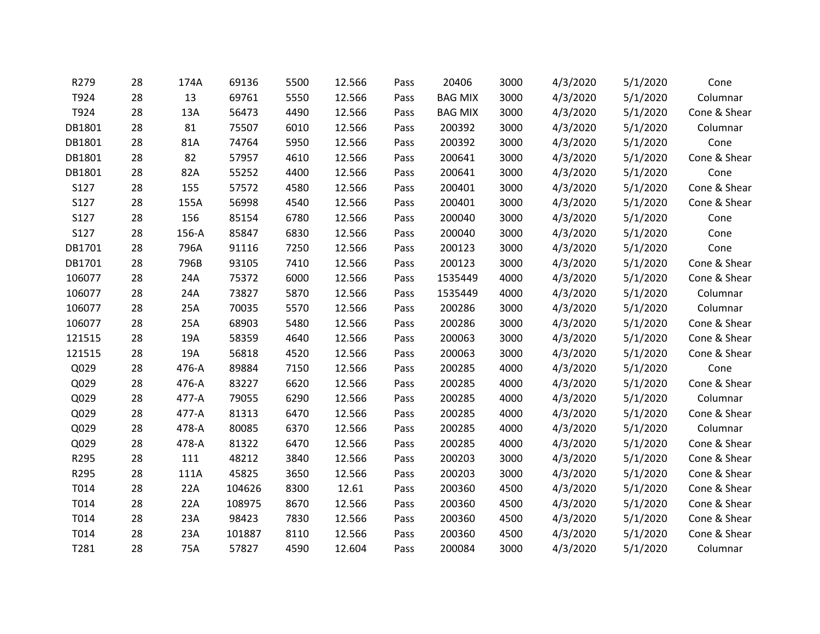| R279   | 28 | 174A  | 69136  | 5500 | 12.566 | Pass | 20406          | 3000 | 4/3/2020 | 5/1/2020 | Cone         |
|--------|----|-------|--------|------|--------|------|----------------|------|----------|----------|--------------|
| T924   | 28 | 13    | 69761  | 5550 | 12.566 | Pass | <b>BAG MIX</b> | 3000 | 4/3/2020 | 5/1/2020 | Columnar     |
| T924   | 28 | 13A   | 56473  | 4490 | 12.566 | Pass | <b>BAG MIX</b> | 3000 | 4/3/2020 | 5/1/2020 | Cone & Shear |
| DB1801 | 28 | 81    | 75507  | 6010 | 12.566 | Pass | 200392         | 3000 | 4/3/2020 | 5/1/2020 | Columnar     |
| DB1801 | 28 | 81A   | 74764  | 5950 | 12.566 | Pass | 200392         | 3000 | 4/3/2020 | 5/1/2020 | Cone         |
| DB1801 | 28 | 82    | 57957  | 4610 | 12.566 | Pass | 200641         | 3000 | 4/3/2020 | 5/1/2020 | Cone & Shear |
| DB1801 | 28 | 82A   | 55252  | 4400 | 12.566 | Pass | 200641         | 3000 | 4/3/2020 | 5/1/2020 | Cone         |
| S127   | 28 | 155   | 57572  | 4580 | 12.566 | Pass | 200401         | 3000 | 4/3/2020 | 5/1/2020 | Cone & Shear |
| S127   | 28 | 155A  | 56998  | 4540 | 12.566 | Pass | 200401         | 3000 | 4/3/2020 | 5/1/2020 | Cone & Shear |
| S127   | 28 | 156   | 85154  | 6780 | 12.566 | Pass | 200040         | 3000 | 4/3/2020 | 5/1/2020 | Cone         |
| S127   | 28 | 156-A | 85847  | 6830 | 12.566 | Pass | 200040         | 3000 | 4/3/2020 | 5/1/2020 | Cone         |
| DB1701 | 28 | 796A  | 91116  | 7250 | 12.566 | Pass | 200123         | 3000 | 4/3/2020 | 5/1/2020 | Cone         |
| DB1701 | 28 | 796B  | 93105  | 7410 | 12.566 | Pass | 200123         | 3000 | 4/3/2020 | 5/1/2020 | Cone & Shear |
| 106077 | 28 | 24A   | 75372  | 6000 | 12.566 | Pass | 1535449        | 4000 | 4/3/2020 | 5/1/2020 | Cone & Shear |
| 106077 | 28 | 24A   | 73827  | 5870 | 12.566 | Pass | 1535449        | 4000 | 4/3/2020 | 5/1/2020 | Columnar     |
| 106077 | 28 | 25A   | 70035  | 5570 | 12.566 | Pass | 200286         | 3000 | 4/3/2020 | 5/1/2020 | Columnar     |
| 106077 | 28 | 25A   | 68903  | 5480 | 12.566 | Pass | 200286         | 3000 | 4/3/2020 | 5/1/2020 | Cone & Shear |
| 121515 | 28 | 19A   | 58359  | 4640 | 12.566 | Pass | 200063         | 3000 | 4/3/2020 | 5/1/2020 | Cone & Shear |
| 121515 | 28 | 19A   | 56818  | 4520 | 12.566 | Pass | 200063         | 3000 | 4/3/2020 | 5/1/2020 | Cone & Shear |
| Q029   | 28 | 476-A | 89884  | 7150 | 12.566 | Pass | 200285         | 4000 | 4/3/2020 | 5/1/2020 | Cone         |
| Q029   | 28 | 476-A | 83227  | 6620 | 12.566 | Pass | 200285         | 4000 | 4/3/2020 | 5/1/2020 | Cone & Shear |
| Q029   | 28 | 477-A | 79055  | 6290 | 12.566 | Pass | 200285         | 4000 | 4/3/2020 | 5/1/2020 | Columnar     |
| Q029   | 28 | 477-A | 81313  | 6470 | 12.566 | Pass | 200285         | 4000 | 4/3/2020 | 5/1/2020 | Cone & Shear |
| Q029   | 28 | 478-A | 80085  | 6370 | 12.566 | Pass | 200285         | 4000 | 4/3/2020 | 5/1/2020 | Columnar     |
| Q029   | 28 | 478-A | 81322  | 6470 | 12.566 | Pass | 200285         | 4000 | 4/3/2020 | 5/1/2020 | Cone & Shear |
| R295   | 28 | 111   | 48212  | 3840 | 12.566 | Pass | 200203         | 3000 | 4/3/2020 | 5/1/2020 | Cone & Shear |
| R295   | 28 | 111A  | 45825  | 3650 | 12.566 | Pass | 200203         | 3000 | 4/3/2020 | 5/1/2020 | Cone & Shear |
| T014   | 28 | 22A   | 104626 | 8300 | 12.61  | Pass | 200360         | 4500 | 4/3/2020 | 5/1/2020 | Cone & Shear |
| T014   | 28 | 22A   | 108975 | 8670 | 12.566 | Pass | 200360         | 4500 | 4/3/2020 | 5/1/2020 | Cone & Shear |
| T014   | 28 | 23A   | 98423  | 7830 | 12.566 | Pass | 200360         | 4500 | 4/3/2020 | 5/1/2020 | Cone & Shear |
| T014   | 28 | 23A   | 101887 | 8110 | 12.566 | Pass | 200360         | 4500 | 4/3/2020 | 5/1/2020 | Cone & Shear |
| T281   | 28 | 75A   | 57827  | 4590 | 12.604 | Pass | 200084         | 3000 | 4/3/2020 | 5/1/2020 | Columnar     |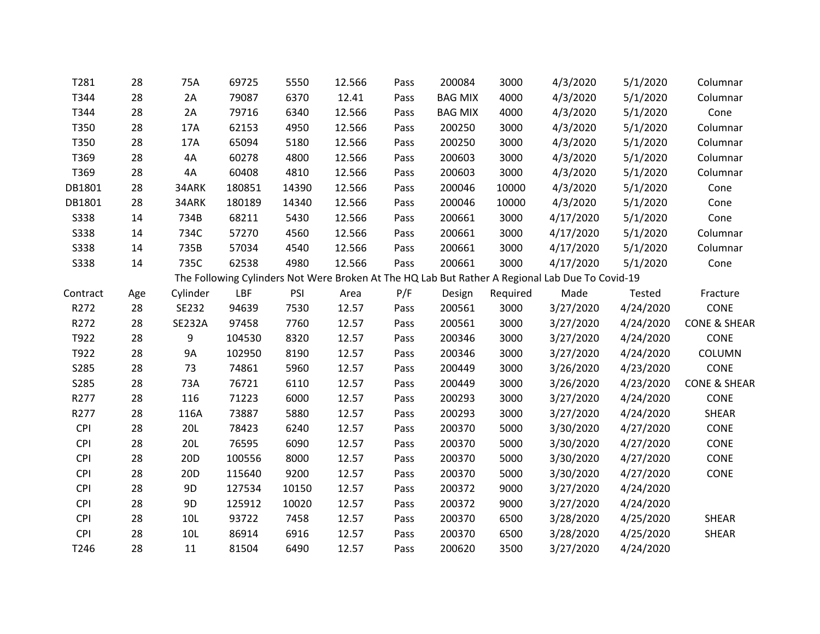| T281             | 28  | 75A             | 69725  | 5550  | 12.566 | Pass | 200084         | 3000     | 4/3/2020                                                                                        | 5/1/2020  | Columnar                |
|------------------|-----|-----------------|--------|-------|--------|------|----------------|----------|-------------------------------------------------------------------------------------------------|-----------|-------------------------|
| T344             | 28  | 2A              | 79087  | 6370  | 12.41  | Pass | <b>BAG MIX</b> | 4000     | 4/3/2020                                                                                        | 5/1/2020  | Columnar                |
| T344             | 28  | 2A              | 79716  | 6340  | 12.566 | Pass | <b>BAG MIX</b> | 4000     | 4/3/2020                                                                                        | 5/1/2020  | Cone                    |
| T350             | 28  | 17A             | 62153  | 4950  | 12.566 | Pass | 200250         | 3000     | 4/3/2020                                                                                        | 5/1/2020  | Columnar                |
| T350             | 28  | 17A             | 65094  | 5180  | 12.566 | Pass | 200250         | 3000     | 4/3/2020                                                                                        | 5/1/2020  | Columnar                |
| T369             | 28  | 4A              | 60278  | 4800  | 12.566 | Pass | 200603         | 3000     | 4/3/2020                                                                                        | 5/1/2020  | Columnar                |
| T369             | 28  | 4A              | 60408  | 4810  | 12.566 | Pass | 200603         | 3000     | 4/3/2020                                                                                        | 5/1/2020  | Columnar                |
| DB1801           | 28  | 34ARK           | 180851 | 14390 | 12.566 | Pass | 200046         | 10000    | 4/3/2020                                                                                        | 5/1/2020  | Cone                    |
| DB1801           | 28  | 34ARK           | 180189 | 14340 | 12.566 | Pass | 200046         | 10000    | 4/3/2020                                                                                        | 5/1/2020  | Cone                    |
| <b>S338</b>      | 14  | 734B            | 68211  | 5430  | 12.566 | Pass | 200661         | 3000     | 4/17/2020                                                                                       | 5/1/2020  | Cone                    |
| <b>S338</b>      | 14  | 734C            | 57270  | 4560  | 12.566 | Pass | 200661         | 3000     | 4/17/2020                                                                                       | 5/1/2020  | Columnar                |
| <b>S338</b>      | 14  | 735B            | 57034  | 4540  | 12.566 | Pass | 200661         | 3000     | 4/17/2020                                                                                       | 5/1/2020  | Columnar                |
| <b>S338</b>      | 14  | 735C            | 62538  | 4980  | 12.566 | Pass | 200661         | 3000     | 4/17/2020                                                                                       | 5/1/2020  | Cone                    |
|                  |     |                 |        |       |        |      |                |          | The Following Cylinders Not Were Broken At The HQ Lab But Rather A Regional Lab Due To Covid-19 |           |                         |
| Contract         | Age | Cylinder        | LBF    | PSI   | Area   | P/F  | Design         | Required | Made                                                                                            | Tested    | Fracture                |
| R272             | 28  | SE232           | 94639  | 7530  | 12.57  | Pass | 200561         | 3000     | 3/27/2020                                                                                       | 4/24/2020 | CONE                    |
| R272             | 28  | <b>SE232A</b>   | 97458  | 7760  | 12.57  | Pass | 200561         | 3000     | 3/27/2020                                                                                       | 4/24/2020 | <b>CONE &amp; SHEAR</b> |
| T922             | 28  | 9               | 104530 | 8320  | 12.57  | Pass | 200346         | 3000     | 3/27/2020                                                                                       | 4/24/2020 | <b>CONE</b>             |
| T922             | 28  | <b>9A</b>       | 102950 | 8190  | 12.57  | Pass | 200346         | 3000     | 3/27/2020                                                                                       | 4/24/2020 | COLUMN                  |
| S285             | 28  | 73              | 74861  | 5960  | 12.57  | Pass | 200449         | 3000     | 3/26/2020                                                                                       | 4/23/2020 | CONE                    |
| S285             | 28  | 73A             | 76721  | 6110  | 12.57  | Pass | 200449         | 3000     | 3/26/2020                                                                                       | 4/23/2020 | <b>CONE &amp; SHEAR</b> |
| R277             | 28  | 116             | 71223  | 6000  | 12.57  | Pass | 200293         | 3000     | 3/27/2020                                                                                       | 4/24/2020 | <b>CONE</b>             |
| R277             | 28  | 116A            | 73887  | 5880  | 12.57  | Pass | 200293         | 3000     | 3/27/2020                                                                                       | 4/24/2020 | SHEAR                   |
| <b>CPI</b>       | 28  | <b>20L</b>      | 78423  | 6240  | 12.57  | Pass | 200370         | 5000     | 3/30/2020                                                                                       | 4/27/2020 | CONE                    |
| <b>CPI</b>       | 28  | 20L             | 76595  | 6090  | 12.57  | Pass | 200370         | 5000     | 3/30/2020                                                                                       | 4/27/2020 | CONE                    |
| <b>CPI</b>       | 28  | 20 <sub>D</sub> | 100556 | 8000  | 12.57  | Pass | 200370         | 5000     | 3/30/2020                                                                                       | 4/27/2020 | CONE                    |
| CPI              | 28  | 20 <sub>D</sub> | 115640 | 9200  | 12.57  | Pass | 200370         | 5000     | 3/30/2020                                                                                       | 4/27/2020 | <b>CONE</b>             |
| <b>CPI</b>       | 28  | 9 <sub>D</sub>  | 127534 | 10150 | 12.57  | Pass | 200372         | 9000     | 3/27/2020                                                                                       | 4/24/2020 |                         |
| <b>CPI</b>       | 28  | 9D              | 125912 | 10020 | 12.57  | Pass | 200372         | 9000     | 3/27/2020                                                                                       | 4/24/2020 |                         |
| <b>CPI</b>       | 28  | 10L             | 93722  | 7458  | 12.57  | Pass | 200370         | 6500     | 3/28/2020                                                                                       | 4/25/2020 | SHEAR                   |
| CPI              | 28  | 10L             | 86914  | 6916  | 12.57  | Pass | 200370         | 6500     | 3/28/2020                                                                                       | 4/25/2020 | SHEAR                   |
| T <sub>246</sub> | 28  | 11              | 81504  | 6490  | 12.57  | Pass | 200620         | 3500     | 3/27/2020                                                                                       | 4/24/2020 |                         |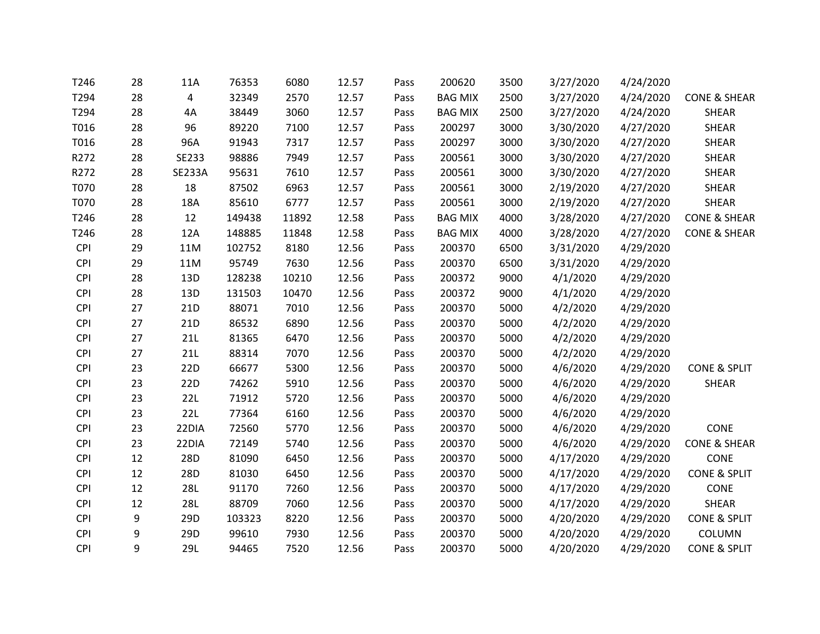| T246        | 28 | 11A             | 76353  | 6080  | 12.57 | Pass | 200620         | 3500 | 3/27/2020 | 4/24/2020 |                         |
|-------------|----|-----------------|--------|-------|-------|------|----------------|------|-----------|-----------|-------------------------|
| T294        | 28 | 4               | 32349  | 2570  | 12.57 | Pass | <b>BAG MIX</b> | 2500 | 3/27/2020 | 4/24/2020 | <b>CONE &amp; SHEAR</b> |
| T294        | 28 | 4A              | 38449  | 3060  | 12.57 | Pass | <b>BAG MIX</b> | 2500 | 3/27/2020 | 4/24/2020 | SHEAR                   |
| T016        | 28 | 96              | 89220  | 7100  | 12.57 | Pass | 200297         | 3000 | 3/30/2020 | 4/27/2020 | <b>SHEAR</b>            |
| T016        | 28 | 96A             | 91943  | 7317  | 12.57 | Pass | 200297         | 3000 | 3/30/2020 | 4/27/2020 | <b>SHEAR</b>            |
| R272        | 28 | SE233           | 98886  | 7949  | 12.57 | Pass | 200561         | 3000 | 3/30/2020 | 4/27/2020 | <b>SHEAR</b>            |
| R272        | 28 | <b>SE233A</b>   | 95631  | 7610  | 12.57 | Pass | 200561         | 3000 | 3/30/2020 | 4/27/2020 | <b>SHEAR</b>            |
| <b>T070</b> | 28 | 18              | 87502  | 6963  | 12.57 | Pass | 200561         | 3000 | 2/19/2020 | 4/27/2020 | <b>SHEAR</b>            |
| T070        | 28 | 18A             | 85610  | 6777  | 12.57 | Pass | 200561         | 3000 | 2/19/2020 | 4/27/2020 | SHEAR                   |
| T246        | 28 | 12              | 149438 | 11892 | 12.58 | Pass | <b>BAG MIX</b> | 4000 | 3/28/2020 | 4/27/2020 | <b>CONE &amp; SHEAR</b> |
| T246        | 28 | 12A             | 148885 | 11848 | 12.58 | Pass | <b>BAG MIX</b> | 4000 | 3/28/2020 | 4/27/2020 | <b>CONE &amp; SHEAR</b> |
| <b>CPI</b>  | 29 | 11M             | 102752 | 8180  | 12.56 | Pass | 200370         | 6500 | 3/31/2020 | 4/29/2020 |                         |
| <b>CPI</b>  | 29 | 11M             | 95749  | 7630  | 12.56 | Pass | 200370         | 6500 | 3/31/2020 | 4/29/2020 |                         |
| <b>CPI</b>  | 28 | 13D             | 128238 | 10210 | 12.56 | Pass | 200372         | 9000 | 4/1/2020  | 4/29/2020 |                         |
| <b>CPI</b>  | 28 | 13D             | 131503 | 10470 | 12.56 | Pass | 200372         | 9000 | 4/1/2020  | 4/29/2020 |                         |
| <b>CPI</b>  | 27 | 21 <sub>D</sub> | 88071  | 7010  | 12.56 | Pass | 200370         | 5000 | 4/2/2020  | 4/29/2020 |                         |
| <b>CPI</b>  | 27 | 21D             | 86532  | 6890  | 12.56 | Pass | 200370         | 5000 | 4/2/2020  | 4/29/2020 |                         |
| <b>CPI</b>  | 27 | 21L             | 81365  | 6470  | 12.56 | Pass | 200370         | 5000 | 4/2/2020  | 4/29/2020 |                         |
| CPI         | 27 | 21L             | 88314  | 7070  | 12.56 | Pass | 200370         | 5000 | 4/2/2020  | 4/29/2020 |                         |
| <b>CPI</b>  | 23 | 22D             | 66677  | 5300  | 12.56 | Pass | 200370         | 5000 | 4/6/2020  | 4/29/2020 | <b>CONE &amp; SPLIT</b> |
| <b>CPI</b>  | 23 | 22 <sub>D</sub> | 74262  | 5910  | 12.56 | Pass | 200370         | 5000 | 4/6/2020  | 4/29/2020 | <b>SHEAR</b>            |
| <b>CPI</b>  | 23 | 22L             | 71912  | 5720  | 12.56 | Pass | 200370         | 5000 | 4/6/2020  | 4/29/2020 |                         |
| <b>CPI</b>  | 23 | 22L             | 77364  | 6160  | 12.56 | Pass | 200370         | 5000 | 4/6/2020  | 4/29/2020 |                         |
| <b>CPI</b>  | 23 | 22DIA           | 72560  | 5770  | 12.56 | Pass | 200370         | 5000 | 4/6/2020  | 4/29/2020 | CONE                    |
| <b>CPI</b>  | 23 | 22DIA           | 72149  | 5740  | 12.56 | Pass | 200370         | 5000 | 4/6/2020  | 4/29/2020 | <b>CONE &amp; SHEAR</b> |
| CPI         | 12 | 28D             | 81090  | 6450  | 12.56 | Pass | 200370         | 5000 | 4/17/2020 | 4/29/2020 | CONE                    |
| <b>CPI</b>  | 12 | 28D             | 81030  | 6450  | 12.56 | Pass | 200370         | 5000 | 4/17/2020 | 4/29/2020 | <b>CONE &amp; SPLIT</b> |
| <b>CPI</b>  | 12 | <b>28L</b>      | 91170  | 7260  | 12.56 | Pass | 200370         | 5000 | 4/17/2020 | 4/29/2020 | CONE                    |
| <b>CPI</b>  | 12 | <b>28L</b>      | 88709  | 7060  | 12.56 | Pass | 200370         | 5000 | 4/17/2020 | 4/29/2020 | <b>SHEAR</b>            |
| <b>CPI</b>  | 9  | 29D             | 103323 | 8220  | 12.56 | Pass | 200370         | 5000 | 4/20/2020 | 4/29/2020 | <b>CONE &amp; SPLIT</b> |
| CPI         | 9  | 29D             | 99610  | 7930  | 12.56 | Pass | 200370         | 5000 | 4/20/2020 | 4/29/2020 | COLUMN                  |
| <b>CPI</b>  | 9  | 29L             | 94465  | 7520  | 12.56 | Pass | 200370         | 5000 | 4/20/2020 | 4/29/2020 | <b>CONE &amp; SPLIT</b> |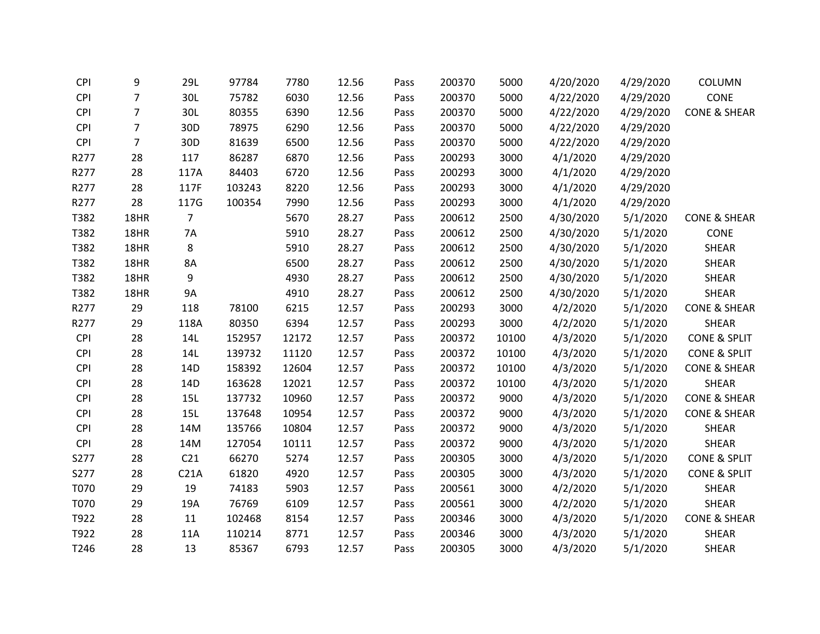| <b>CPI</b> | 9              | 29L             | 97784  | 7780  | 12.56 | Pass | 200370 | 5000  | 4/20/2020 | 4/29/2020 | COLUMN                  |
|------------|----------------|-----------------|--------|-------|-------|------|--------|-------|-----------|-----------|-------------------------|
| <b>CPI</b> | $\overline{7}$ | 30L             | 75782  | 6030  | 12.56 | Pass | 200370 | 5000  | 4/22/2020 | 4/29/2020 | CONE                    |
| <b>CPI</b> | $\overline{7}$ | 30L             | 80355  | 6390  | 12.56 | Pass | 200370 | 5000  | 4/22/2020 | 4/29/2020 | <b>CONE &amp; SHEAR</b> |
| CPI        | $\overline{7}$ | 30 <sub>D</sub> | 78975  | 6290  | 12.56 | Pass | 200370 | 5000  | 4/22/2020 | 4/29/2020 |                         |
| <b>CPI</b> | $\overline{7}$ | 30 <sub>D</sub> | 81639  | 6500  | 12.56 | Pass | 200370 | 5000  | 4/22/2020 | 4/29/2020 |                         |
| R277       | 28             | 117             | 86287  | 6870  | 12.56 | Pass | 200293 | 3000  | 4/1/2020  | 4/29/2020 |                         |
| R277       | 28             | 117A            | 84403  | 6720  | 12.56 | Pass | 200293 | 3000  | 4/1/2020  | 4/29/2020 |                         |
| R277       | 28             | 117F            | 103243 | 8220  | 12.56 | Pass | 200293 | 3000  | 4/1/2020  | 4/29/2020 |                         |
| R277       | 28             | 117G            | 100354 | 7990  | 12.56 | Pass | 200293 | 3000  | 4/1/2020  | 4/29/2020 |                         |
| T382       | 18HR           | 7               |        | 5670  | 28.27 | Pass | 200612 | 2500  | 4/30/2020 | 5/1/2020  | <b>CONE &amp; SHEAR</b> |
| T382       | 18HR           | 7A              |        | 5910  | 28.27 | Pass | 200612 | 2500  | 4/30/2020 | 5/1/2020  | CONE                    |
| T382       | 18HR           | 8               |        | 5910  | 28.27 | Pass | 200612 | 2500  | 4/30/2020 | 5/1/2020  | SHEAR                   |
| T382       | 18HR           | 8A              |        | 6500  | 28.27 | Pass | 200612 | 2500  | 4/30/2020 | 5/1/2020  | <b>SHEAR</b>            |
| T382       | 18HR           | 9               |        | 4930  | 28.27 | Pass | 200612 | 2500  | 4/30/2020 | 5/1/2020  | <b>SHEAR</b>            |
| T382       | 18HR           | 9A              |        | 4910  | 28.27 | Pass | 200612 | 2500  | 4/30/2020 | 5/1/2020  | SHEAR                   |
| R277       | 29             | 118             | 78100  | 6215  | 12.57 | Pass | 200293 | 3000  | 4/2/2020  | 5/1/2020  | <b>CONE &amp; SHEAR</b> |
| R277       | 29             | 118A            | 80350  | 6394  | 12.57 | Pass | 200293 | 3000  | 4/2/2020  | 5/1/2020  | <b>SHEAR</b>            |
| <b>CPI</b> | 28             | 14L             | 152957 | 12172 | 12.57 | Pass | 200372 | 10100 | 4/3/2020  | 5/1/2020  | <b>CONE &amp; SPLIT</b> |
| <b>CPI</b> | 28             | 14L             | 139732 | 11120 | 12.57 | Pass | 200372 | 10100 | 4/3/2020  | 5/1/2020  | CONE & SPLIT            |
| <b>CPI</b> | 28             | 14D             | 158392 | 12604 | 12.57 | Pass | 200372 | 10100 | 4/3/2020  | 5/1/2020  | <b>CONE &amp; SHEAR</b> |
| <b>CPI</b> | 28             | 14D             | 163628 | 12021 | 12.57 | Pass | 200372 | 10100 | 4/3/2020  | 5/1/2020  | SHEAR                   |
| CPI        | 28             | 15L             | 137732 | 10960 | 12.57 | Pass | 200372 | 9000  | 4/3/2020  | 5/1/2020  | <b>CONE &amp; SHEAR</b> |
| <b>CPI</b> | 28             | 15L             | 137648 | 10954 | 12.57 | Pass | 200372 | 9000  | 4/3/2020  | 5/1/2020  | <b>CONE &amp; SHEAR</b> |
| <b>CPI</b> | 28             | 14M             | 135766 | 10804 | 12.57 | Pass | 200372 | 9000  | 4/3/2020  | 5/1/2020  | <b>SHEAR</b>            |
| <b>CPI</b> | 28             | 14M             | 127054 | 10111 | 12.57 | Pass | 200372 | 9000  | 4/3/2020  | 5/1/2020  | SHEAR                   |
| S277       | 28             | C <sub>21</sub> | 66270  | 5274  | 12.57 | Pass | 200305 | 3000  | 4/3/2020  | 5/1/2020  | <b>CONE &amp; SPLIT</b> |
| S277       | 28             | C21A            | 61820  | 4920  | 12.57 | Pass | 200305 | 3000  | 4/3/2020  | 5/1/2020  | <b>CONE &amp; SPLIT</b> |
| T070       | 29             | 19              | 74183  | 5903  | 12.57 | Pass | 200561 | 3000  | 4/2/2020  | 5/1/2020  | SHEAR                   |
| T070       | 29             | 19A             | 76769  | 6109  | 12.57 | Pass | 200561 | 3000  | 4/2/2020  | 5/1/2020  | SHEAR                   |
| T922       | 28             | 11              | 102468 | 8154  | 12.57 | Pass | 200346 | 3000  | 4/3/2020  | 5/1/2020  | <b>CONE &amp; SHEAR</b> |
| T922       | 28             | 11A             | 110214 | 8771  | 12.57 | Pass | 200346 | 3000  | 4/3/2020  | 5/1/2020  | SHEAR                   |
| T246       | 28             | 13              | 85367  | 6793  | 12.57 | Pass | 200305 | 3000  | 4/3/2020  | 5/1/2020  | <b>SHEAR</b>            |